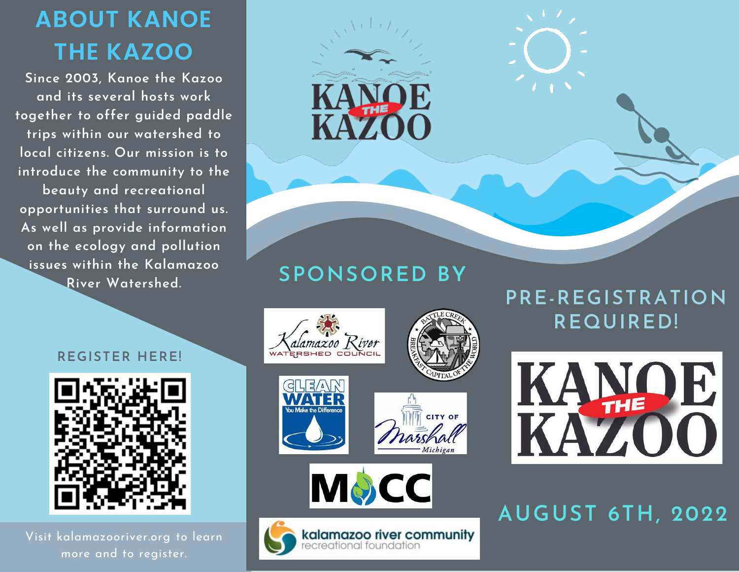## ABOUT KANOE THE KAZOO

Since 2003, Kanoe the Kazoo and its several hosts work together to offer guided paddle trips within our watershed to local citizens. Our mission is to introduce the community to the beauty and recreational opportunities that surround us. As well as provide information on the ecology and pollution issues within the Kalamazoo River Watershed.



## SPONSORED BY





CITY OF





AUGUST 6TH, 2022

## REGISTER HERE!



Visit kalamazooriver.org to learn more and to register.